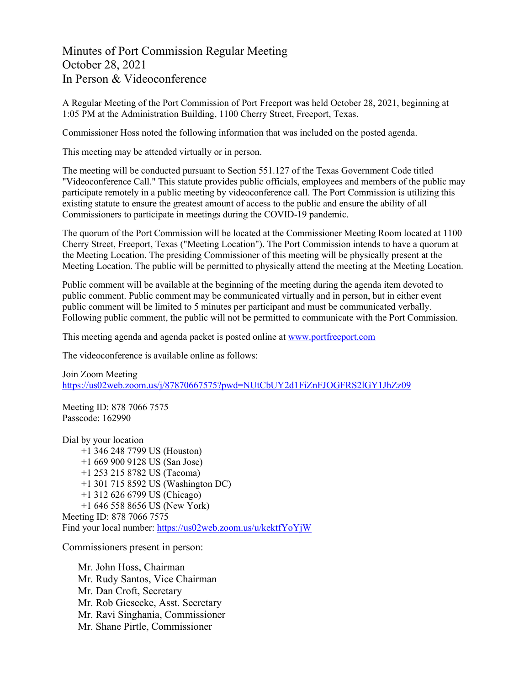Minutes of Port Commission Regular Meeting October 28, 2021 In Person & Videoconference

A Regular Meeting of the Port Commission of Port Freeport was held October 28, 2021, beginning at 1:05 PM at the Administration Building, 1100 Cherry Street, Freeport, Texas.

Commissioner Hoss noted the following information that was included on the posted agenda.

This meeting may be attended virtually or in person.

The meeting will be conducted pursuant to Section 551.127 of the Texas Government Code titled "Videoconference Call." This statute provides public officials, employees and members of the public may participate remotely in a public meeting by videoconference call. The Port Commission is utilizing this existing statute to ensure the greatest amount of access to the public and ensure the ability of all Commissioners to participate in meetings during the COVID-19 pandemic.

The quorum of the Port Commission will be located at the Commissioner Meeting Room located at 1100 Cherry Street, Freeport, Texas ("Meeting Location"). The Port Commission intends to have a quorum at the Meeting Location. The presiding Commissioner of this meeting will be physically present at the Meeting Location. The public will be permitted to physically attend the meeting at the Meeting Location.

Public comment will be available at the beginning of the meeting during the agenda item devoted to public comment. Public comment may be communicated virtually and in person, but in either event public comment will be limited to 5 minutes per participant and must be communicated verbally. Following public comment, the public will not be permitted to communicate with the Port Commission.

This meeting agenda and agenda packet is posted online at [www.portfreeport.com](http://www.portfreeport.com/)

The videoconference is available online as follows:

Join Zoom Meeting <https://us02web.zoom.us/j/87870667575?pwd=NUtCbUY2d1FiZnFJOGFRS2lGY1JhZz09>

Meeting ID: 878 7066 7575 Passcode: 162990

Dial by your location +1 346 248 7799 US (Houston) +1 669 900 9128 US (San Jose) +1 253 215 8782 US (Tacoma) +1 301 715 8592 US (Washington DC) +1 312 626 6799 US (Chicago) +1 646 558 8656 US (New York) Meeting ID: 878 7066 7575 Find your local number:<https://us02web.zoom.us/u/kektfYoYjW>

Commissioners present in person:

Mr. John Hoss, Chairman Mr. Rudy Santos, Vice Chairman Mr. Dan Croft, Secretary Mr. Rob Giesecke, Asst. Secretary Mr. Ravi Singhania, Commissioner Mr. Shane Pirtle, Commissioner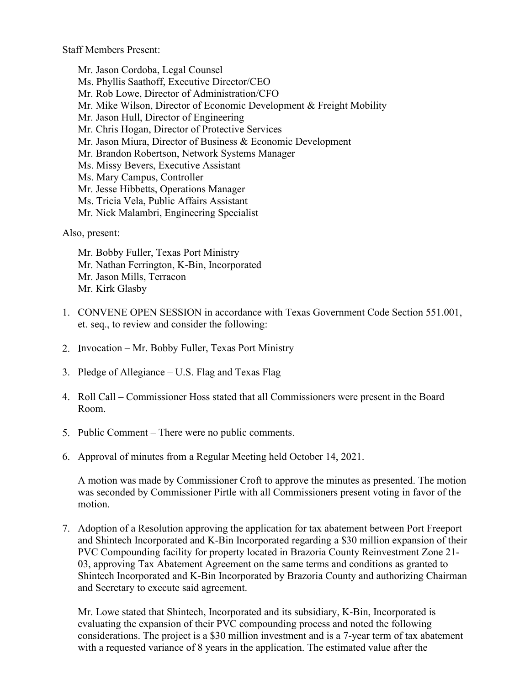Staff Members Present:

Mr. Jason Cordoba, Legal Counsel Ms. Phyllis Saathoff, Executive Director/CEO Mr. Rob Lowe, Director of Administration/CFO Mr. Mike Wilson, Director of Economic Development & Freight Mobility Mr. Jason Hull, Director of Engineering Mr. Chris Hogan, Director of Protective Services Mr. Jason Miura, Director of Business & Economic Development Mr. Brandon Robertson, Network Systems Manager Ms. Missy Bevers, Executive Assistant Ms. Mary Campus, Controller Mr. Jesse Hibbetts, Operations Manager Ms. Tricia Vela, Public Affairs Assistant Mr. Nick Malambri, Engineering Specialist

Also, present:

Mr. Bobby Fuller, Texas Port Ministry Mr. Nathan Ferrington, K-Bin, Incorporated Mr. Jason Mills, Terracon Mr. Kirk Glasby

- 1. CONVENE OPEN SESSION in accordance with Texas Government Code Section 551.001, et. seq., to review and consider the following:
- 2. Invocation Mr. Bobby Fuller, Texas Port Ministry
- 3. Pledge of Allegiance U.S. Flag and Texas Flag
- 4. Roll Call Commissioner Hoss stated that all Commissioners were present in the Board Room.
- 5. Public Comment There were no public comments.
- 6. Approval of minutes from a Regular Meeting held October 14, 2021.

A motion was made by Commissioner Croft to approve the minutes as presented. The motion was seconded by Commissioner Pirtle with all Commissioners present voting in favor of the motion.

7. Adoption of a Resolution approving the application for tax abatement between Port Freeport and Shintech Incorporated and K-Bin Incorporated regarding a \$30 million expansion of their PVC Compounding facility for property located in Brazoria County Reinvestment Zone 21- 03, approving Tax Abatement Agreement on the same terms and conditions as granted to Shintech Incorporated and K-Bin Incorporated by Brazoria County and authorizing Chairman and Secretary to execute said agreement.

Mr. Lowe stated that Shintech, Incorporated and its subsidiary, K-Bin, Incorporated is evaluating the expansion of their PVC compounding process and noted the following considerations. The project is a \$30 million investment and is a 7-year term of tax abatement with a requested variance of 8 years in the application. The estimated value after the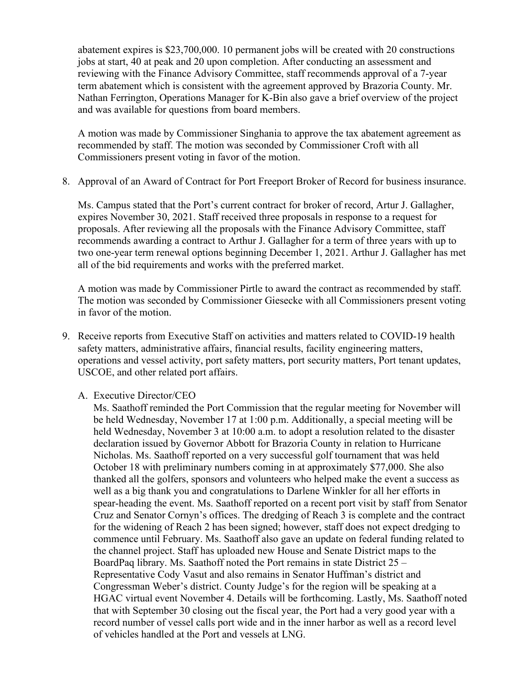abatement expires is \$23,700,000. 10 permanent jobs will be created with 20 constructions jobs at start, 40 at peak and 20 upon completion. After conducting an assessment and reviewing with the Finance Advisory Committee, staff recommends approval of a 7-year term abatement which is consistent with the agreement approved by Brazoria County. Mr. Nathan Ferrington, Operations Manager for K-Bin also gave a brief overview of the project and was available for questions from board members.

A motion was made by Commissioner Singhania to approve the tax abatement agreement as recommended by staff. The motion was seconded by Commissioner Croft with all Commissioners present voting in favor of the motion.

8. Approval of an Award of Contract for Port Freeport Broker of Record for business insurance.

Ms. Campus stated that the Port's current contract for broker of record, Artur J. Gallagher, expires November 30, 2021. Staff received three proposals in response to a request for proposals. After reviewing all the proposals with the Finance Advisory Committee, staff recommends awarding a contract to Arthur J. Gallagher for a term of three years with up to two one-year term renewal options beginning December 1, 2021. Arthur J. Gallagher has met all of the bid requirements and works with the preferred market.

A motion was made by Commissioner Pirtle to award the contract as recommended by staff. The motion was seconded by Commissioner Giesecke with all Commissioners present voting in favor of the motion.

- 9. Receive reports from Executive Staff on activities and matters related to COVID-19 health safety matters, administrative affairs, financial results, facility engineering matters, operations and vessel activity, port safety matters, port security matters, Port tenant updates, USCOE, and other related port affairs.
	- A. Executive Director/CEO

Ms. Saathoff reminded the Port Commission that the regular meeting for November will be held Wednesday, November 17 at 1:00 p.m. Additionally, a special meeting will be held Wednesday, November 3 at 10:00 a.m. to adopt a resolution related to the disaster declaration issued by Governor Abbott for Brazoria County in relation to Hurricane Nicholas. Ms. Saathoff reported on a very successful golf tournament that was held October 18 with preliminary numbers coming in at approximately \$77,000. She also thanked all the golfers, sponsors and volunteers who helped make the event a success as well as a big thank you and congratulations to Darlene Winkler for all her efforts in spear-heading the event. Ms. Saathoff reported on a recent port visit by staff from Senator Cruz and Senator Cornyn's offices. The dredging of Reach 3 is complete and the contract for the widening of Reach 2 has been signed; however, staff does not expect dredging to commence until February. Ms. Saathoff also gave an update on federal funding related to the channel project. Staff has uploaded new House and Senate District maps to the BoardPaq library. Ms. Saathoff noted the Port remains in state District 25 – Representative Cody Vasut and also remains in Senator Huffman's district and Congressman Weber's district. County Judge's for the region will be speaking at a HGAC virtual event November 4. Details will be forthcoming. Lastly, Ms. Saathoff noted that with September 30 closing out the fiscal year, the Port had a very good year with a record number of vessel calls port wide and in the inner harbor as well as a record level of vehicles handled at the Port and vessels at LNG.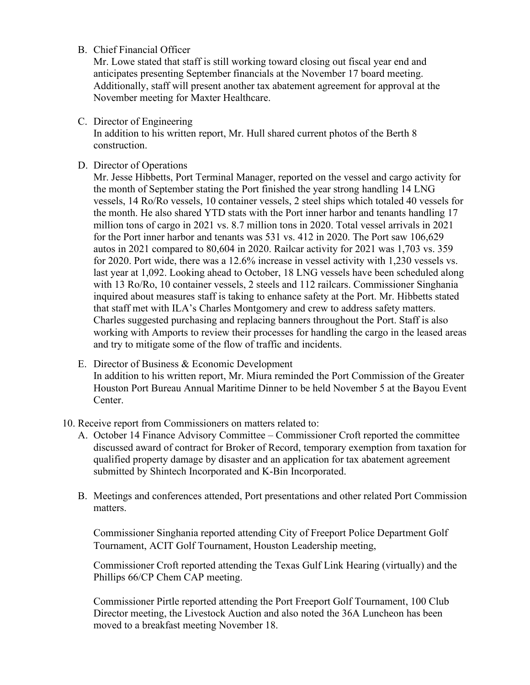## B. Chief Financial Officer

Mr. Lowe stated that staff is still working toward closing out fiscal year end and anticipates presenting September financials at the November 17 board meeting. Additionally, staff will present another tax abatement agreement for approval at the November meeting for Maxter Healthcare.

C. Director of Engineering

In addition to his written report, Mr. Hull shared current photos of the Berth 8 construction.

D. Director of Operations

Mr. Jesse Hibbetts, Port Terminal Manager, reported on the vessel and cargo activity for the month of September stating the Port finished the year strong handling 14 LNG vessels, 14 Ro/Ro vessels, 10 container vessels, 2 steel ships which totaled 40 vessels for the month. He also shared YTD stats with the Port inner harbor and tenants handling 17 million tons of cargo in 2021 vs. 8.7 million tons in 2020. Total vessel arrivals in 2021 for the Port inner harbor and tenants was 531 vs. 412 in 2020. The Port saw 106,629 autos in 2021 compared to 80,604 in 2020. Railcar activity for 2021 was 1,703 vs. 359 for 2020. Port wide, there was a 12.6% increase in vessel activity with 1,230 vessels vs. last year at 1,092. Looking ahead to October, 18 LNG vessels have been scheduled along with 13 Ro/Ro, 10 container vessels, 2 steels and 112 railcars. Commissioner Singhania inquired about measures staff is taking to enhance safety at the Port. Mr. Hibbetts stated that staff met with ILA's Charles Montgomery and crew to address safety matters. Charles suggested purchasing and replacing banners throughout the Port. Staff is also working with Amports to review their processes for handling the cargo in the leased areas and try to mitigate some of the flow of traffic and incidents.

- E. Director of Business & Economic Development In addition to his written report, Mr. Miura reminded the Port Commission of the Greater Houston Port Bureau Annual Maritime Dinner to be held November 5 at the Bayou Event Center.
- 10. Receive report from Commissioners on matters related to:
	- A. October 14 Finance Advisory Committee Commissioner Croft reported the committee discussed award of contract for Broker of Record, temporary exemption from taxation for qualified property damage by disaster and an application for tax abatement agreement submitted by Shintech Incorporated and K-Bin Incorporated.
	- B. Meetings and conferences attended, Port presentations and other related Port Commission matters.

Commissioner Singhania reported attending City of Freeport Police Department Golf Tournament, ACIT Golf Tournament, Houston Leadership meeting,

Commissioner Croft reported attending the Texas Gulf Link Hearing (virtually) and the Phillips 66/CP Chem CAP meeting.

Commissioner Pirtle reported attending the Port Freeport Golf Tournament, 100 Club Director meeting, the Livestock Auction and also noted the 36A Luncheon has been moved to a breakfast meeting November 18.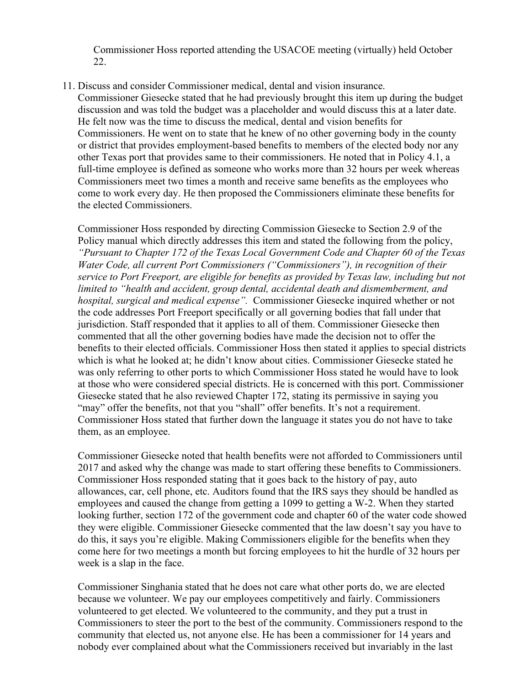Commissioner Hoss reported attending the USACOE meeting (virtually) held October 22.

11. Discuss and consider Commissioner medical, dental and vision insurance.

Commissioner Giesecke stated that he had previously brought this item up during the budget discussion and was told the budget was a placeholder and would discuss this at a later date. He felt now was the time to discuss the medical, dental and vision benefits for Commissioners. He went on to state that he knew of no other governing body in the county or district that provides employment-based benefits to members of the elected body nor any other Texas port that provides same to their commissioners. He noted that in Policy 4.1, a full-time employee is defined as someone who works more than 32 hours per week whereas Commissioners meet two times a month and receive same benefits as the employees who come to work every day. He then proposed the Commissioners eliminate these benefits for the elected Commissioners.

Commissioner Hoss responded by directing Commission Giesecke to Section 2.9 of the Policy manual which directly addresses this item and stated the following from the policy, *"Pursuant to Chapter 172 of the Texas Local Government Code and Chapter 60 of the Texas Water Code, all current Port Commissioners ("Commissioners"), in recognition of their service to Port Freeport, are eligible for benefits as provided by Texas law, including but not limited to "health and accident, group dental, accidental death and dismemberment, and hospital, surgical and medical expense".* Commissioner Giesecke inquired whether or not the code addresses Port Freeport specifically or all governing bodies that fall under that jurisdiction. Staff responded that it applies to all of them. Commissioner Giesecke then commented that all the other governing bodies have made the decision not to offer the benefits to their elected officials. Commissioner Hoss then stated it applies to special districts which is what he looked at; he didn't know about cities. Commissioner Giesecke stated he was only referring to other ports to which Commissioner Hoss stated he would have to look at those who were considered special districts. He is concerned with this port. Commissioner Giesecke stated that he also reviewed Chapter 172, stating its permissive in saying you "may" offer the benefits, not that you "shall" offer benefits. It's not a requirement. Commissioner Hoss stated that further down the language it states you do not have to take them, as an employee.

Commissioner Giesecke noted that health benefits were not afforded to Commissioners until 2017 and asked why the change was made to start offering these benefits to Commissioners. Commissioner Hoss responded stating that it goes back to the history of pay, auto allowances, car, cell phone, etc. Auditors found that the IRS says they should be handled as employees and caused the change from getting a 1099 to getting a W-2. When they started looking further, section 172 of the government code and chapter 60 of the water code showed they were eligible. Commissioner Giesecke commented that the law doesn't say you have to do this, it says you're eligible. Making Commissioners eligible for the benefits when they come here for two meetings a month but forcing employees to hit the hurdle of 32 hours per week is a slap in the face.

Commissioner Singhania stated that he does not care what other ports do, we are elected because we volunteer. We pay our employees competitively and fairly. Commissioners volunteered to get elected. We volunteered to the community, and they put a trust in Commissioners to steer the port to the best of the community. Commissioners respond to the community that elected us, not anyone else. He has been a commissioner for 14 years and nobody ever complained about what the Commissioners received but invariably in the last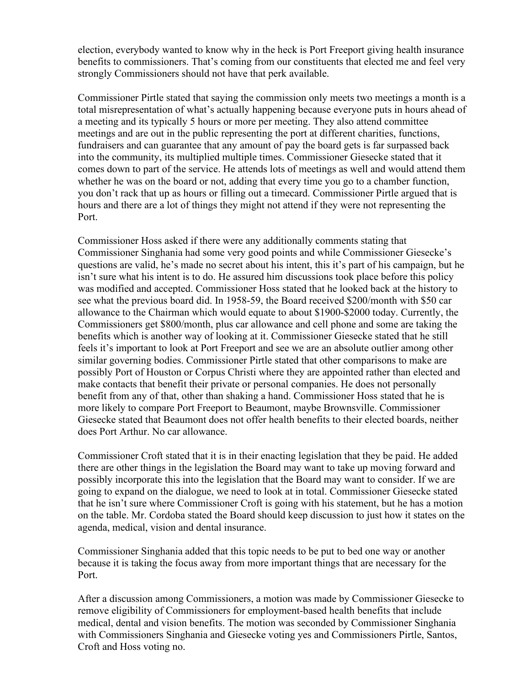election, everybody wanted to know why in the heck is Port Freeport giving health insurance benefits to commissioners. That's coming from our constituents that elected me and feel very strongly Commissioners should not have that perk available.

Commissioner Pirtle stated that saying the commission only meets two meetings a month is a total misrepresentation of what's actually happening because everyone puts in hours ahead of a meeting and its typically 5 hours or more per meeting. They also attend committee meetings and are out in the public representing the port at different charities, functions, fundraisers and can guarantee that any amount of pay the board gets is far surpassed back into the community, its multiplied multiple times. Commissioner Giesecke stated that it comes down to part of the service. He attends lots of meetings as well and would attend them whether he was on the board or not, adding that every time you go to a chamber function, you don't rack that up as hours or filling out a timecard. Commissioner Pirtle argued that is hours and there are a lot of things they might not attend if they were not representing the Port.

Commissioner Hoss asked if there were any additionally comments stating that Commissioner Singhania had some very good points and while Commissioner Giesecke's questions are valid, he's made no secret about his intent, this it's part of his campaign, but he isn't sure what his intent is to do. He assured him discussions took place before this policy was modified and accepted. Commissioner Hoss stated that he looked back at the history to see what the previous board did. In 1958-59, the Board received \$200/month with \$50 car allowance to the Chairman which would equate to about \$1900-\$2000 today. Currently, the Commissioners get \$800/month, plus car allowance and cell phone and some are taking the benefits which is another way of looking at it. Commissioner Giesecke stated that he still feels it's important to look at Port Freeport and see we are an absolute outlier among other similar governing bodies. Commissioner Pirtle stated that other comparisons to make are possibly Port of Houston or Corpus Christi where they are appointed rather than elected and make contacts that benefit their private or personal companies. He does not personally benefit from any of that, other than shaking a hand. Commissioner Hoss stated that he is more likely to compare Port Freeport to Beaumont, maybe Brownsville. Commissioner Giesecke stated that Beaumont does not offer health benefits to their elected boards, neither does Port Arthur. No car allowance.

Commissioner Croft stated that it is in their enacting legislation that they be paid. He added there are other things in the legislation the Board may want to take up moving forward and possibly incorporate this into the legislation that the Board may want to consider. If we are going to expand on the dialogue, we need to look at in total. Commissioner Giesecke stated that he isn't sure where Commissioner Croft is going with his statement, but he has a motion on the table. Mr. Cordoba stated the Board should keep discussion to just how it states on the agenda, medical, vision and dental insurance.

Commissioner Singhania added that this topic needs to be put to bed one way or another because it is taking the focus away from more important things that are necessary for the Port.

After a discussion among Commissioners, a motion was made by Commissioner Giesecke to remove eligibility of Commissioners for employment-based health benefits that include medical, dental and vision benefits. The motion was seconded by Commissioner Singhania with Commissioners Singhania and Giesecke voting yes and Commissioners Pirtle, Santos, Croft and Hoss voting no.